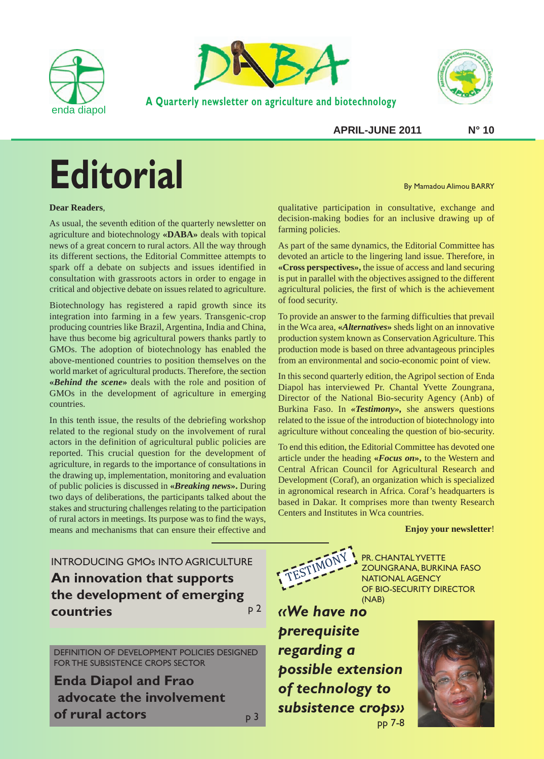



**A Quarterly newsletter on agriculture and biotechnology**



**APRIL-JUNE 2011 N° 10**

# **Editorial**

**Dear Readers**,

As usual, the seventh edition of the quarterly newsletter on agriculture and biotechnology **«DABA»** deals with topical news of a great concern to rural actors. All the way through its different sections, the Editorial Committee attempts to spark off a debate on subjects and issues identified in consultation with grassroots actors in order to engage in critical and objective debate on issues related to agriculture.

Biotechnology has registered a rapid growth since its integration into farming in a few years. Transgenic-crop producing countries like Brazil, Argentina, India and China, have thus become big agricultural powers thanks partly to GMOs. The adoption of biotechnology has enabled the above-mentioned countries to position themselves on the world market of agricultural products. Therefore, the section **«***Behind the scene***»** deals with the role and position of GMOs in the development of agriculture in emerging countries.

In this tenth issue, the results of the debriefing workshop related to the regional study on the involvement of rural actors in the definition of agricultural public policies are reported. This crucial question for the development of agriculture, in regards to the importance of consultations in the drawing up, implementation, monitoring and evaluation of public policies is discussed in **«***Breaking news***».** During two days of deliberations, the participants talked about the stakes and structuring challenges relating to the participation of rural actors in meetings. Its purpose was to find the ways, means and mechanisms that can ensure their effective and

By Mamadou Alimou BARRY

qualitative participation in consultative, exchange and decision-making bodies for an inclusive drawing up of farming policies.

As part of the same dynamics, the Editorial Committee has devoted an article to the lingering land issue. Therefore, in **«Cross perspectives»,** the issue of access and land securing is put in parallel with the objectives assigned to the different agricultural policies, the first of which is the achievement of food security.

To provide an answer to the farming difficulties that prevail in the Wca area, **«***Alternatives***»** sheds light on an innovative production system known as Conservation Agriculture. This production mode is based on three advantageous principles from an environmental and socio-economic point of view.

In this second quarterly edition, the Agripol section of Enda Diapol has interviewed Pr. Chantal Yvette Zoungrana, Director of the National Bio-security Agency (Anb) of Burkina Faso. In *«Testimony»,* she answers questions related to the issue of the introduction of biotechnology into agriculture without concealing the question of bio-security.

To end this edition, the Editorial Committee has devoted one article under the heading **«***Focus on***»,** to the Western and Central African Council for Agricultural Research and Development (Coraf), an organization which is specialized in agronomical research in Africa. Coraf's headquarters is based in Dakar. It comprises more than twenty Research Centers and Institutes in Wca countries.

**Enjoy your newsletter**!

INTRODUCING GMOs INTO AGRICULTURE **An innovation that supports the development of emerging countries** p 2

DEFINITION OF DEVELOPMENT POLICIES DESIGNED FOR THE SUBSISTENCE CROPS SECTOR

**Enda Diapol and Frao advocate the involvement of rural actors**



PR. CHANTALYVETTE ZOUNGRANA, BURKINA FASO NATIONAL AGENCY OF BIO-SECURITY DIRECTOR (NAB)

*«We have no prerequisite regarding a possible extension of technology to subsistence crops»* p 3 pp 7-8

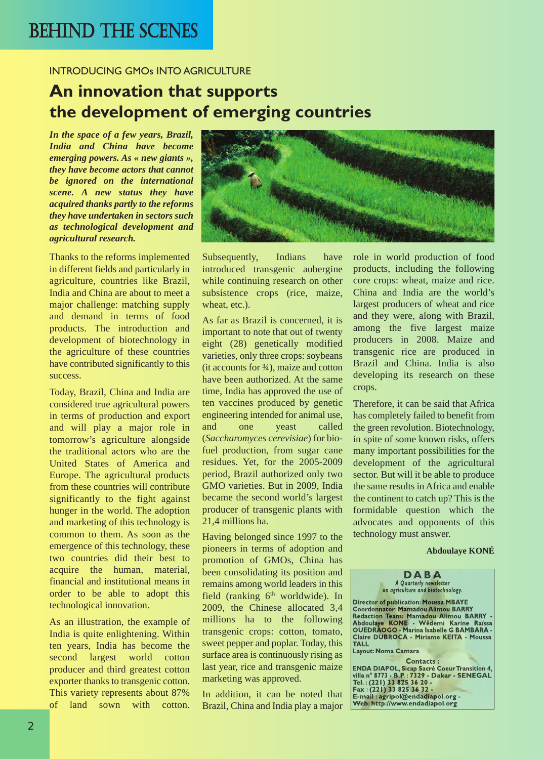### INTRODUCING GMOs INTO AGRICULTURE

### **An innovation that supports the development of emerging countries**

*In the space of a few years, Brazil, India and China have become emerging powers. As « new giants », they have become actors that cannot be ignored on the international scene. A new status they have acquired thanks partly to the reforms they have undertaken in sectors such as technological development and agricultural research.*

Thanks to the reforms implemented in different fields and particularly in agriculture, countries like Brazil, India and China are about to meet a major challenge: matching supply and demand in terms of food products. The introduction and development of biotechnology in the agriculture of these countries have contributed significantly to this success.

Today, Brazil, China and India are considered true agricultural powers in terms of production and export and will play a major role in tomorrow's agriculture alongside the traditional actors who are the United States of America and Europe. The agricultural products from these countries will contribute significantly to the fight against hunger in the world. The adoption and marketing of this technology is common to them. As soon as the emergence of this technology, these two countries did their best to acquire the human, material, financial and institutional means in order to be able to adopt this technological innovation.

As an illustration, the example of India is quite enlightening. Within ten years, India has become the second largest world cotton producer and third greatest cotton exporter thanks to transgenic cotton. This variety represents about 87% of land sown with cotton.



Subsequently, Indians have introduced transgenic aubergine while continuing research on other subsistence crops (rice, maize, wheat, etc.).

As far as Brazil is concerned, it is important to note that out of twenty eight (28) genetically modified varieties, only three crops: soybeans (it accounts for ¾), maize and cotton have been authorized. At the same time, India has approved the use of ten vaccines produced by genetic engineering intended for animal use, and one yeast called (*Saccharomyces cerevisiae*) for biofuel production, from sugar cane residues. Yet, for the 2005-2009 period, Brazil authorized only two GMO varieties. But in 2009, India became the second world's largest producer of transgenic plants with 21,4 millions ha.

Having belonged since 1997 to the pioneers in terms of adoption and promotion of GMOs, China has been consolidating its position and remains among world leaders in this field (ranking  $6<sup>th</sup>$  worldwide). In 2009, the Chinese allocated 3,4 millions ha to the following transgenic crops: cotton, tomato, sweet pepper and poplar. Today, this surface area is continuously rising as last year, rice and transgenic maize marketing was approved.

In addition, it can be noted that Brazil, China and India play a major role in world production of food products, including the following core crops: wheat, maize and rice. China and India are the world's largest producers of wheat and rice and they were, along with Brazil, among the five largest maize producers in 2008. Maize and transgenic rice are produced in Brazil and China. India is also developing its research on these crops.

Therefore, it can be said that Africa has completely failed to benefit from the green revolution. Biotechnology, in spite of some known risks, offers many important possibilities for the development of the agricultural sector. But will it be able to produce the same results in Africa and enable the continent to catch up? This is the formidable question which the advocates and opponents of this technology must answer.

### **Abdoulaye KONÉ**

**D A B A** *A Quarterly newsletter on agriculture and biotechnology.*

**Director of publication: Moussa MBAYE Coordonnator: Mamadou Alimou BARRY Redaction Team: Mamadou Alimou BARRY - Abdoulaye KONE - Wêdémi Karine Raïssa OUEDRAOGO - Marina Isabelle G BAMBARA - Claire DUBROCA - Miriame KEITA - Moussa TALL** 

**Layout: Noma Camara**

**Contacts : ENDA DIAPOL, Sicap Sacré CoeurTransition 4, villa n° 8773 - B.P. : 7329 - Dakar - SENEGAL Tel. : (221) 33 825 36 20 - Fax : (221) 33 825 36 32 - E-mail : agripol@endadiapol.org - Web: http://www.endadiapol.org**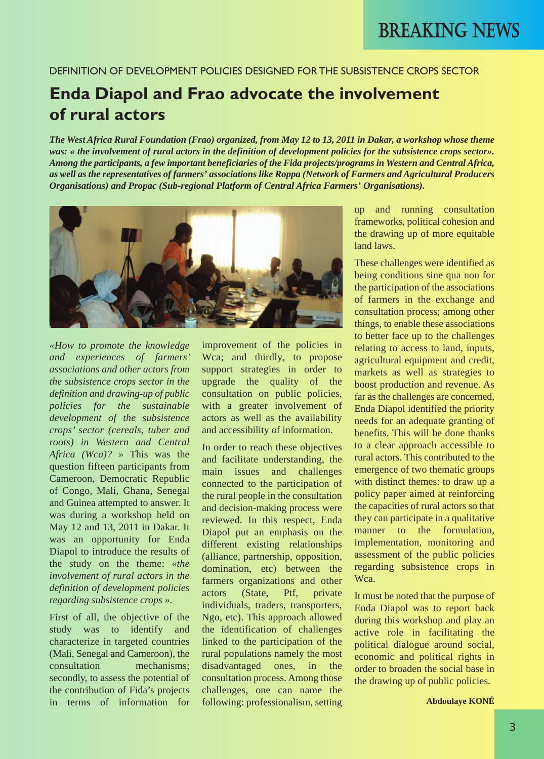### DEFINITION OF DEVELOPMENT POLICIES DESIGNED FOR THE SUBSISTENCE CROPS SECTOR

# **Enda Diapol and Frao advocate the involvement of rural actors**

*The West Africa Rural Foundation (Frao) organized, from May 12 to 13, 2011 in Dakar, a workshop whose theme was: « the involvement of rural actors in the definition of development policies for the subsistence crops sector». Among the participants, a few important beneficiaries of the Fida projects/programs in Western and Central Africa, as well as the representatives of farmers' associations like Roppa (Network of Farmers and Agricultural Producers Organisations) and Propac (Sub-regional Platform of Central Africa Farmers' Organisations).*



*«How to promote the knowledge and experiences of farmers' associations and other actors from the subsistence crops sector in the definition and drawing-up of public policies for the sustainable development of the subsistence crops' sector (cereals, tuber and roots) in Western and Central Africa (Wca)? »* This was the question fifteen participants from Cameroon, Democratic Republic of Congo, Mali, Ghana, Senegal and Guinea attempted to answer. It was during a workshop held on May 12 and 13, 2011 in Dakar. It was an opportunity for Enda Diapol to introduce the results of the study on the theme: *«the involvement of rural actors in the definition of development policies regarding subsistence crops ».*

First of all, the objective of the study was to identify and characterize in targeted countries (Mali, Senegal and Cameroon), the consultation mechanisms; secondly, to assess the potential of the contribution of Fida's projects in terms of information for improvement of the policies in Wca; and thirdly, to propose support strategies in order to upgrade the quality of the consultation on public policies, with a greater involvement of actors as well as the availability and accessibility of information.

In order to reach these objectives and facilitate understanding, the main issues and challenges connected to the participation of the rural people in the consultation and decision-making process were reviewed. In this respect, Enda Diapol put an emphasis on the different existing relationships (alliance, partnership, opposition, domination, etc) between the farmers organizations and other actors (State, Ptf, private individuals, traders, transporters, Ngo, etc). This approach allowed the identification of challenges linked to the participation of the rural populations namely the most disadvantaged ones, in the consultation process. Among those challenges, one can name the following: professionalism, setting

up and running consultation frameworks, political cohesion and the drawing up of more equitable land laws.

These challenges were identified as being conditions sine qua non for the participation of the associations of farmers in the exchange and consultation process; among other things, to enable these associations to better face up to the challenges relating to access to land, inputs, agricultural equipment and credit, markets as well as strategies to boost production and revenue. As far as the challenges are concerned, Enda Diapol identified the priority needs for an adequate granting of benefits. This will be done thanks to a clear approach accessible to rural actors. This contributed to the emergence of two thematic groups with distinct themes: to draw up a policy paper aimed at reinforcing the capacities of rural actors so that they can participate in a qualitative manner to the formulation. implementation, monitoring and assessment of the public policies regarding subsistence crops in Wca.

It must be noted that the purpose of Enda Diapol was to report back during this workshop and play an active role in facilitating the political dialogue around social, economic and political rights in order to broaden the social base in the drawing up of public policies.

**Abdoulaye KONÉ**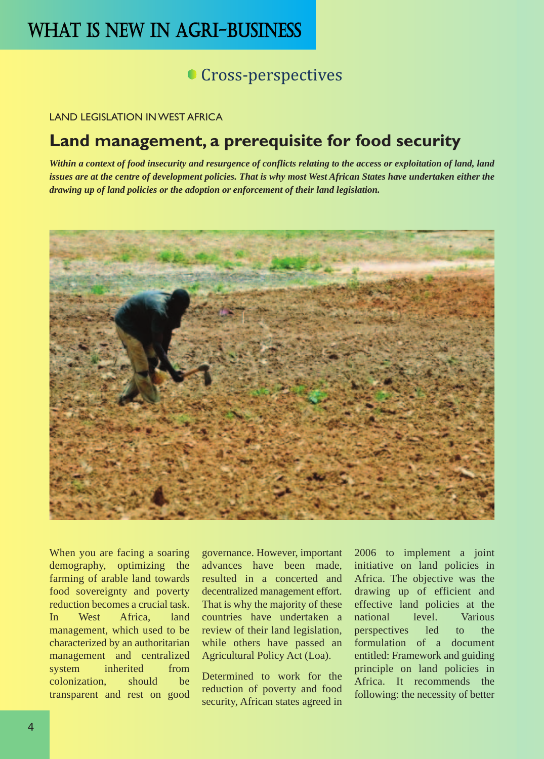# WHAT IS NEW IN AGRI-BUSINESS

### **Cross-perspectives**

LAND LEGISLATION IN WEST AFRICA

### **Land management, a prerequisite for food security**

*Within a context of food insecurity and resurgence of conflicts relating to the access or exploitation of land, land issues are at the centre of development policies. That is why most West African States have undertaken either the drawing up of land policies or the adoption or enforcement of their land legislation.* 



When you are facing a soaring demography, optimizing the farming of arable land towards food sovereignty and poverty reduction becomes a crucial task. In West Africa, land management, which used to be characterized by an authoritarian management and centralized system inherited from colonization, should be transparent and rest on good

governance. However, important advances have been made, resulted in a concerted and decentralized management effort. That is why the majority of these countries have undertaken a review of their land legislation, while others have passed an Agricultural Policy Act (Loa).

Determined to work for the reduction of poverty and food security, African states agreed in 2006 to implement a joint initiative on land policies in Africa. The objective was the drawing up of efficient and effective land policies at the national level. Various perspectives led to the formulation of a document entitled: Framework and guiding principle on land policies in Africa. It recommends the following: the necessity of better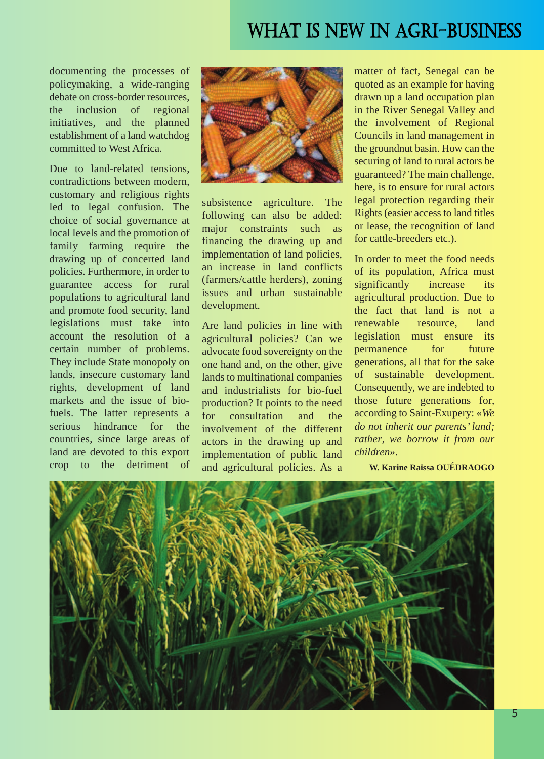# WHAT IS NEW IN AGRI-BUSINESS

documenting the processes of policymaking, a wide-ranging debate on cross-border resources, the inclusion of regional initiatives, and the planned establishment of a land watchdog committed to West Africa.

Due to land-related tensions, contradictions between modern, customary and religious rights led to legal confusion. The choice of social governance at local levels and the promotion of family farming require the drawing up of concerted land policies. Furthermore, in order to guarantee access for rural populations to agricultural land and promote food security, land legislations must take into account the resolution of a certain number of problems. They include State monopoly on lands, insecure customary land rights, development of land markets and the issue of biofuels. The latter represents a serious hindrance for the countries, since large areas of land are devoted to this export crop to the detriment of



subsistence agriculture. The following can also be added: major constraints such as financing the drawing up and implementation of land policies, an increase in land conflicts (farmers/cattle herders), zoning issues and urban sustainable development.

Are land policies in line with agricultural policies? Can we advocate food sovereignty on the one hand and, on the other, give lands to multinational companies and industrialists for bio-fuel production? It points to the need for consultation and the involvement of the different actors in the drawing up and implementation of public land and agricultural policies. As a

matter of fact, Senegal can be quoted as an example for having drawn up a land occupation plan in the River Senegal Valley and the involvement of Regional Councils in land management in the groundnut basin. How can the securing of land to rural actors be guaranteed? The main challenge, here, is to ensure for rural actors legal protection regarding their Rights (easier access to land titles or lease, the recognition of land for cattle-breeders etc.).

In order to meet the food needs of its population, Africa must significantly increase its agricultural production. Due to the fact that land is not a renewable resource, land legislation must ensure its permanence for future generations, all that for the sake of sustainable development. Consequently, we are indebted to those future generations for, according to Saint-Exupery: «*We do not inherit our parents' land; rather, we borrow it from our children*».

**W. Karine Raïssa OUÉDRAOGO**

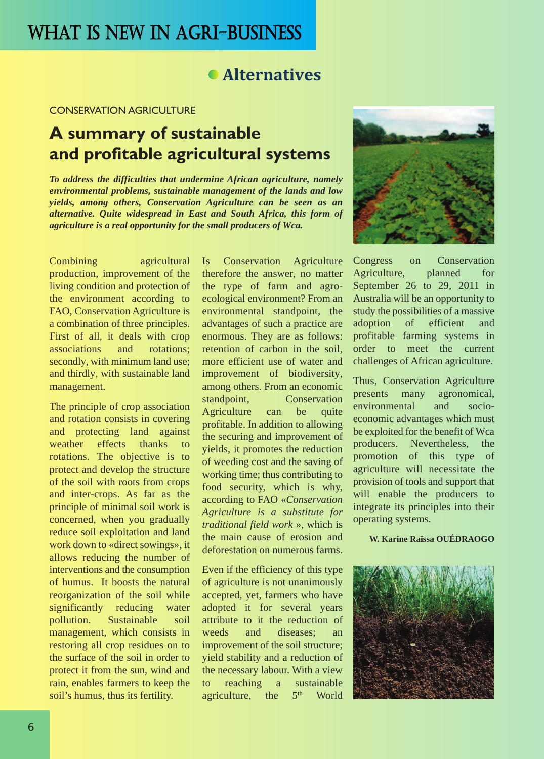### **Alternatives**

### CONSERVATION AGRICULTURE

## **A summary of sustainable and profitable agricultural systems**

*To address the difficulties that undermine African agriculture, namely environmental problems, sustainable management of the lands and low yields, among others, Conservation Agriculture can be seen as an alternative. Quite widespread in East and South Africa, this form of agriculture is a real opportunity for the small producers of Wca.*

Combining agricultural production, improvement of the living condition and protection of the environment according to FAO, Conservation Agriculture is a combination of three principles. First of all, it deals with crop associations and rotations; secondly, with minimum land use; and thirdly, with sustainable land management.

The principle of crop association and rotation consists in covering and protecting land against weather effects thanks to rotations. The objective is to protect and develop the structure of the soil with roots from crops and inter-crops. As far as the principle of minimal soil work is concerned, when you gradually reduce soil exploitation and land work down to «direct sowings», it allows reducing the number of interventions and the consumption of humus. It boosts the natural reorganization of the soil while significantly reducing water pollution. Sustainable soil management, which consists in restoring all crop residues on to the surface of the soil in order to protect it from the sun, wind and rain, enables farmers to keep the soil's humus, thus its fertility.

Is Conservation Agriculture therefore the answer, no matter the type of farm and agroecological environment? From an environmental standpoint, the advantages of such a practice are enormous. They are as follows: retention of carbon in the soil, more efficient use of water and improvement of biodiversity, among others. From an economic standpoint, Conservation Agriculture can be quite profitable. In addition to allowing the securing and improvement of yields, it promotes the reduction of weeding cost and the saving of working time; thus contributing to food security, which is why, according to FAO «*Conservation Agriculture is a substitute for traditional field work* », which is the main cause of erosion and deforestation on numerous farms.

Even if the efficiency of this type of agriculture is not unanimously accepted, yet, farmers who have adopted it for several years attribute to it the reduction of weeds and diseases; an improvement of the soil structure; yield stability and a reduction of the necessary labour. With a view to reaching a sustainable agriculture, the  $5<sup>th</sup>$  World



Congress on Conservation Agriculture, planned for September 26 to 29, 2011 in Australia will be an opportunity to study the possibilities of a massive adoption of efficient and profitable farming systems in order to meet the current challenges of African agriculture.

Thus, Conservation Agriculture presents many agronomical, environmental and socioeconomic advantages which must be exploited for the benefit of Wca producers. Nevertheless, the promotion of this type of agriculture will necessitate the provision of tools and support that will enable the producers to integrate its principles into their operating systems.

### **W. Karine Raïssa OUÉDRAOGO**

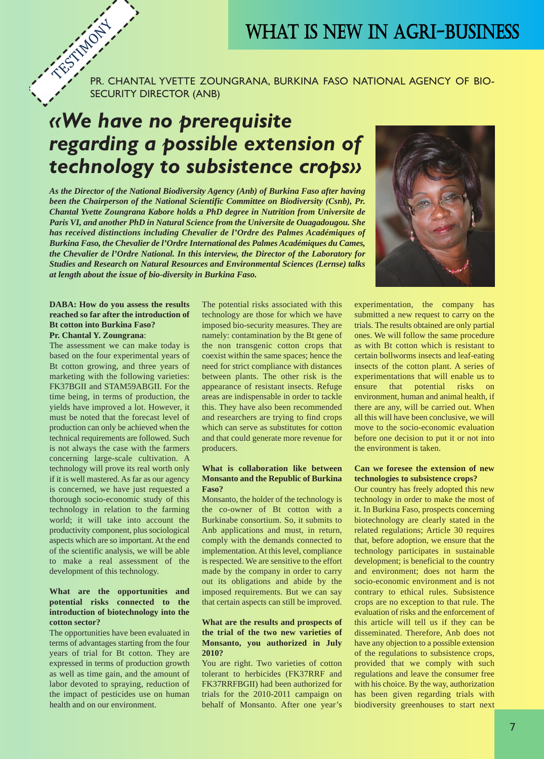TESTIMONY PR. CHANTAL YVETTE ZOUNGRANA, BURKINA FASO NATIONAL AGENCY OF BIO-SECURITY DIRECTOR (ANB)

# *«We have no prerequisite regarding a possible extension of technology to subsistence crops»*

*As the Director of the National Biodiversity Agency (Anb) of Burkina Faso after having been the Chairperson of the National Scientific Committee on Biodiversity (Csnb), Pr. Chantal Yvette Zoungrana Kabore holds a PhD degree in Nutrition from Universite de Paris VI, and another PhD in Natural Science from the Universite de Ouagadougou. She has received distinctions including Chevalier de l'Ordre des Palmes Académiques of Burkina Faso, the Chevalier de l'Ordre International des Palmes Académiques du Cames, the Chevalier de l'Ordre National. In this interview, the Director of the Laboratory for Studies and Research on Natural Resources and Environmental Sciences (Lernse) talks at length about the issue of bio-diversity in Burkina Faso.* 

#### **DABA: How do you assess the results reached so far after the introduction of Bt cotton into Burkina Faso? Pr. Chantal Y. Zoungrana**:

The assessment we can make today is based on the four experimental years of Bt cotton growing, and three years of marketing with the following varieties: FK37BGII and STAM59ABGII. For the time being, in terms of production, the yields have improved a lot. However, it must be noted that the forecast level of production can only be achieved when the technical requirements are followed. Such is not always the case with the farmers concerning large-scale cultivation. A technology will prove its real worth only if it is well mastered. As far as our agency is concerned, we have just requested a thorough socio-economic study of this technology in relation to the farming world; it will take into account the productivity component, plus sociological aspects which are so important. At the end of the scientific analysis, we will be able to make a real assessment of the development of this technology.

### **What are the opportunities and potential risks connected to the introduction of biotechnology into the cotton sector?**

The opportunities have been evaluated in terms of advantages starting from the four years of trial for Bt cotton. They are expressed in terms of production growth as well as time gain, and the amount of labor devoted to spraying, reduction of the impact of pesticides use on human health and on our environment.

The potential risks associated with this technology are those for which we have imposed bio-security measures. They are namely: contamination by the Bt gene of the non transgenic cotton crops that coexist within the same spaces; hence the need for strict compliance with distances between plants. The other risk is the appearance of resistant insects. Refuge areas are indispensable in order to tackle this. They have also been recommended and researchers are trying to find crops which can serve as substitutes for cotton and that could generate more revenue for producers.

#### **What is collaboration like between Monsanto and the Republic of Burkina Faso?**

Monsanto, the holder of the technology is the co-owner of Bt cotton with a Burkinabe consortium. So, it submits to Anb applications and must, in return, comply with the demands connected to implementation. At this level, compliance is respected. We are sensitive to the effort made by the company in order to carry out its obligations and abide by the imposed requirements. But we can say that certain aspects can still be improved.

#### **What are the results and prospects of the trial of the two new varieties of Monsanto, you authorized in July 2010?**

You are right. Two varieties of cotton tolerant to herbicides (FK37RRF and FK37RRFBGII) had been authorized for trials for the 2010-2011 campaign on behalf of Monsanto. After one year's



experimentation, the company has submitted a new request to carry on the trials. The results obtained are only partial ones. We will follow the same procedure as with Bt cotton which is resistant to certain bollworms insects and leaf-eating insects of the cotton plant. A series of experimentations that will enable us to ensure that potential risks on environment, human and animal health, if there are any, will be carried out. When all this will have been conclusive, we will move to the socio-economic evaluation before one decision to put it or not into the environment is taken.

### **Can we foresee the extension of new technologies to subsistence crops?**

Our country has freely adopted this new technology in order to make the most of it. In Burkina Faso, prospects concerning biotechnology are clearly stated in the related regulations; Article 30 requires that, before adoption, we ensure that the technology participates in sustainable development; is beneficial to the country and environment; does not harm the socio-economic environment and is not contrary to ethical rules. Subsistence crops are no exception to that rule. The evaluation of risks and the enforcement of this article will tell us if they can be disseminated. Therefore, Anb does not have any objection to a possible extension of the regulations to subsistence crops, provided that we comply with such regulations and leave the consumer free with his choice. By the way, authorization has been given regarding trials with biodiversity greenhouses to start next